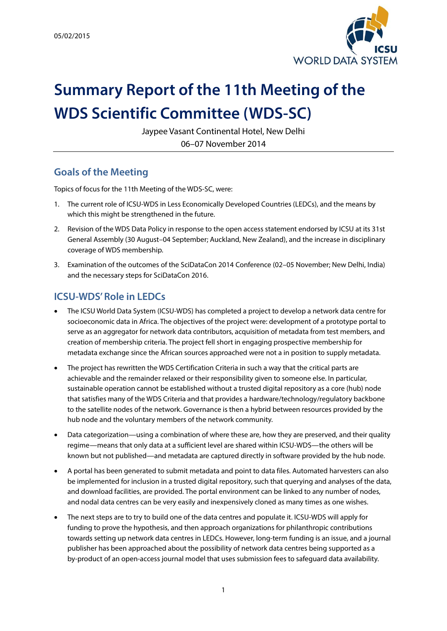

# **Summary Report of the 11th Meeting of the WDS Scientific Committee (WDS-SC)**

Jaypee Vasant Continental Hotel, New Delhi 06–07 November 2014

## **Goals of the Meeting**

Topics of focus for the 11th Meeting of the WDS-SC, were:

- 1. The current role of ICSU-WDS in Less Economically Developed Countries (LEDCs), and the means by which this might be strengthened in the future.
- 2. Revision of the WDS Data Policy in response to the open access statement endorsed by ICSU at its 31st General Assembly (30 August–04 September; Auckland, New Zealand), and the increase in disciplinary coverage of WDS membership.
- 3. Examination of the outcomes of the SciDataCon 2014 Conference (02–05 November; New Delhi, India) and the necessary steps for SciDataCon 2016.

## **ICSU-WDS' Role in LEDCs**

- The ICSU World Data System (ICSU-WDS) has completed a project to develop a network data centre for socioeconomic data in Africa. The objectives of the project were: development of a prototype portal to serve as an aggregator for network data contributors, acquisition of metadata from test members, and creation of membership criteria. The project fell short in engaging prospective membership for metadata exchange since the African sources approached were not a in position to supply metadata.
- The project has rewritten the WDS Certification Criteria in such a way that the critical parts are achievable and the remainder relaxed or their responsibility given to someone else. In particular, sustainable operation cannot be established without a trusted digital repository as a core (hub) node that satisfies many of the WDS Criteria and that provides a hardware/technology/regulatory backbone to the satellite nodes of the network. Governance is then a hybrid between resources provided by the hub node and the voluntary members of the network community.
- Data categorization—using a combination of where these are, how they are preserved, and their quality regime—means that only data at a sufficient level are shared within ICSU-WDS—the others will be known but not published—and metadata are captured directly in software provided by the hub node.
- A portal has been generated to submit metadata and point to data files. Automated harvesters can also be implemented for inclusion in a trusted digital repository, such that querying and analyses of the data, and download facilities, are provided. The portal environment can be linked to any number of nodes, and nodal data centres can be very easily and inexpensively cloned as many times as one wishes.
- The next steps are to try to build one of the data centres and populate it. ICSU-WDS will apply for funding to prove the hypothesis, and then approach organizations for philanthropic contributions towards setting up network data centres in LEDCs. However, long-term funding is an issue, and a journal publisher has been approached about the possibility of network data centres being supported as a by-product of an open-access journal model that uses submission fees to safeguard data availability.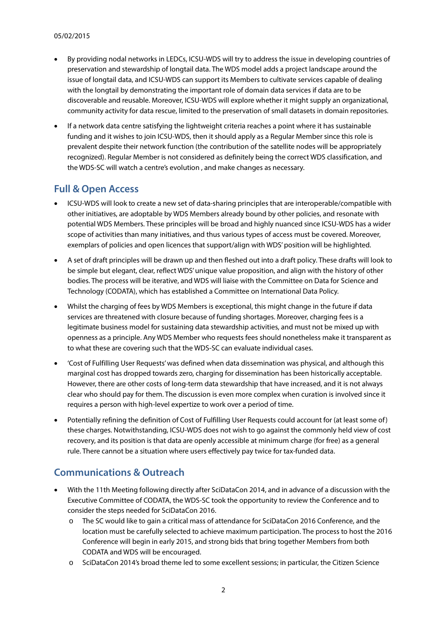- By providing nodal networks in LEDCs, ICSU-WDS will try to address the issue in developing countries of preservation and stewardship of longtail data. The WDS model adds a project landscape around the issue of longtail data, and ICSU-WDS can support its Members to cultivate services capable of dealing with the longtail by demonstrating the important role of domain data services if data are to be discoverable and reusable. Moreover, ICSU-WDS will explore whether it might supply an organizational, community activity for data rescue, limited to the preservation of small datasets in domain repositories.
- If a network data centre satisfying the lightweight criteria reaches a point where it has sustainable funding and it wishes to join ICSU-WDS, then it should apply as a Regular Member since this role is prevalent despite their network function (the contribution of the satellite nodes will be appropriately recognized). Regular Member is not considered as definitely being the correct WDS classification, and the WDS-SC will watch a centre's evolution , and make changes as necessary.

#### **Full & Open Access**

- ICSU-WDS will look to create a new set of data-sharing principles that are interoperable/compatible with other initiatives, are adoptable by WDS Members already bound by other policies, and resonate with potential WDS Members. These principles will be broad and highly nuanced since ICSU-WDS has a wider scope of activities than many initiatives, and thus various types of access must be covered. Moreover, exemplars of policies and open licences that support/align with WDS' position will be highlighted.
- A set of draft principles will be drawn up and then fleshed out into a draft policy. These drafts will look to be simple but elegant, clear, reflect WDS' unique value proposition, and align with the history of other bodies. The process will be iterative, and WDS will liaise with the Committee on Data for Science and Technology (CODATA), which has established a Committee on International Data Policy.
- Whilst the charging of fees by WDS Members is exceptional, this might change in the future if data services are threatened with closure because of funding shortages. Moreover, charging fees is a legitimate business model for sustaining data stewardship activities, and must not be mixed up with openness as a principle. Any WDS Member who requests fees should nonetheless make it transparent as to what these are covering such that the WDS-SC can evaluate individual cases.
- 'Cost of Fulfilling User Requests'was defined when data dissemination was physical, and although this marginal cost has dropped towards zero, charging for dissemination has been historically acceptable. However, there are other costs of long-term data stewardship that have increased, and it is not always clear who should pay for them. The discussion is even more complex when curation is involved since it requires a person with high-level expertize to work over a period of time.
- Potentially refining the definition of Cost of Fulfilling User Requests could account for (at least some of ) these charges. Notwithstanding, ICSU-WDS does not wish to go against the commonly held view of cost recovery, and its position is that data are openly accessible at minimum charge (for free) as a general rule. There cannot be a situation where users effectively pay twice for tax-funded data.

## **Communications & Outreach**

- With the 11th Meeting following directly after SciDataCon 2014, and in advance of a discussion with the Executive Committee of CODATA, the WDS-SC took the opportunity to review the Conference and to consider the steps needed for SciDataCon 2016.
	- o The SC would like to gain a critical mass of attendance for SciDataCon 2016 Conference, and the location must be carefully selected to achieve maximum participation. The process to host the 2016 Conference will begin in early 2015, and strong bids that bring together Members from both CODATA and WDS will be encouraged.
	- o SciDataCon 2014's broad theme led to some excellent sessions; in particular, the Citizen Science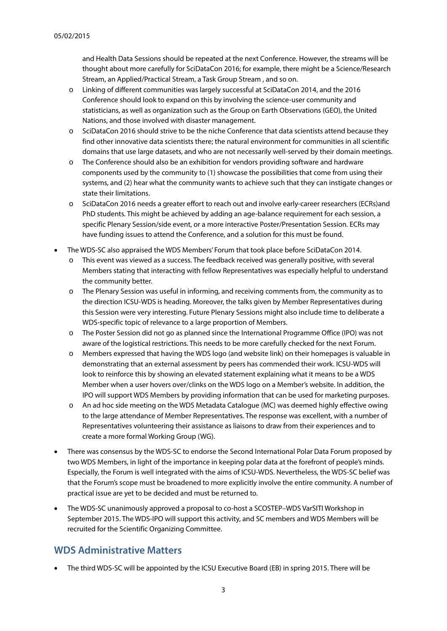and Health Data Sessions should be repeated at the next Conference. However, the streams will be thought about more carefully for SciDataCon 2016; for example, there might be a Science/Research Stream, an Applied/Practical Stream, a Task Group Stream , and so on.

- o Linking of different communities was largely successful at SciDataCon 2014, and the 2016 Conference should look to expand on this by involving the science-user community and statisticians, as well as organization such as the Group on Earth Observations (GEO), the United Nations, and those involved with disaster management.
- o SciDataCon 2016 should strive to be the niche Conference that data scientists attend because they find other innovative data scientists there; the natural environment for communities in all scientific domains that use large datasets, and who are not necessarily well-served by their domain meetings.
- o The Conference should also be an exhibition for vendors providing software and hardware components used by the community to (1) showcase the possibilities that come from using their systems, and (2) hear what the community wants to achieve such that they can instigate changes or state their limitations.
- o SciDataCon 2016 needs a greater effort to reach out and involve early-career researchers (ECRs)and PhD students. This might be achieved by adding an age-balance requirement for each session, a specific Plenary Session/side event, or a more interactive Poster/Presentation Session. ECRs may have funding issues to attend the Conference, and a solution for this must be found.
- The WDS-SC also appraised the WDS Members' Forum that took place before SciDataCon 2014.
	- o This event was viewed as a success. The feedback received was generally positive, with several Members stating that interacting with fellow Representatives was especially helpful to understand the community better.
	- o The Plenary Session was useful in informing, and receiving comments from, the community as to the direction ICSU-WDS is heading. Moreover, the talks given by Member Representatives during this Session were very interesting. Future Plenary Sessions might also include time to deliberate a WDS-specific topic of relevance to a large proportion of Members.
	- o The Poster Session did not go as planned since the International Programme Office (IPO) was not aware of the logistical restrictions. This needs to be more carefully checked for the next Forum.
	- o Members expressed that having the WDS logo (and website link) on their homepages is valuable in demonstrating that an external assessment by peers has commended their work. ICSU-WDS will look to reinforce this by showing an elevated statement explaining what it means to be a WDS Member when a user hovers over/clinks on the WDS logo on a Member's website. In addition, the IPO will support WDS Members by providing information that can be used for marketing purposes.
	- o An ad hoc side meeting on the WDS Metadata Catalogue (MC) was deemed highly effective owing to the large attendance of Member Representatives. The response was excellent, with a number of Representatives volunteering their assistance as liaisons to draw from their experiences and to create a more formal Working Group (WG).
- There was consensus by the WDS-SC to endorse the Second International Polar Data Forum proposed by two WDS Members, in light of the importance in keeping polar data at the forefront of people's minds. Especially, the Forum is well integrated with the aims of ICSU-WDS. Nevertheless, the WDS-SC belief was that the Forum's scope must be broadened to more explicitly involve the entire community. A number of practical issue are yet to be decided and must be returned to.
- The WDS-SC unanimously approved a proposal to co-host a SCOSTEP–WDS VarSITI Workshop in September 2015. The WDS-IPO will support this activity, and SC members and WDS Members will be recruited for the Scientific Organizing Committee.

## **WDS Administrative Matters**

• The third WDS-SC will be appointed by the ICSU Executive Board (EB) in spring 2015. There will be